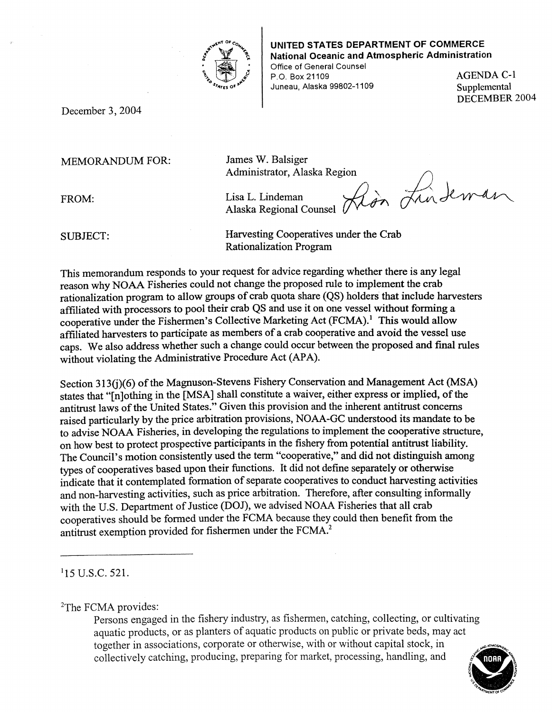

## **UNITED STATES DEPARTMENT OF COMMERCE National Oceanic and Atmospheric Administration**

Office of General Counsel P.O. Box 21109 AGENDA C-1 Juneau, Alaska 99802-1109 Supplemental

DECEMBER 2004

December 3, 2004

## MEMORANDUM FOR: James W. Balsiger

Administrator, Alaska Region . .. */)* 

FROM:

Alaska Regional Lisa L. Lindeman

 $\overline{\mathcal{A}}$ on Lin  $\overbrace{max}^{ion}$  Lindewan

SUBJECT: Harvesting Cooperatives under the Crab Rationalization Program

This memorandum responds to your request for advice regarding whether there is any legal reason why NOAA Fisheries could not change the proposed rule to implement the crab rationalization program to allow groups of crab quota share (QS) holders that include harvesters affiliated with processors to pool their crab QS and use it on one vessel without forming a cooperative under the Fishermen's Collective Marketing Act (FCMA).<sup>1</sup> This would allow affiliated harvesters to participate as members of a crab cooperative and avoid the vessel use caps. We also address whether such a change could occur between the proposed and final rules without violating the Administrative Procedure Act (APA).

Section 313(j)(6) of the Magnuson-Stevens Fishery Conservation and Management Act (MSA) states that "[n]othing in the [MSA] shall constitute a waiver, either express or implied, of the antitrust laws of the United States." Given this provision and the inherent antitrust concerns raised particularly by the price arbitration provisions, NOAA-GC understood its mandate to be to advise NOAA Fisheries, in developing the regulations to implement the cooperative structure, on how best to protect prospective participants in the fishery from potential antitrust liability. The Council's motion consistently used the term "cooperative," and did not distinguish among types of cooperatives based upon their functions. It did not define separately or otherwise indicate that it contemplated formation of separate cooperatives to conduct harvesting activities and non-harvesting activities, such as price arbitration. Therefore, after consulting informally with the U.S. Department of Justice (DOJ), we advised NOAA Fisheries that all crab cooperatives should be formed under the FCMA because they could then benefit from the antitrust exemption provided for fishermen under the FCMA.2

<sup>1</sup>15 U.S.C. 521.

<sup>2</sup>The FCMA provides:

Persons engaged in the fishery industry, as fishermen, catching, collecting, or cultivating together in associations, corporate or otherwise, with or without capital stock, in collectively catching, producing, preparing for market, processing, handling, and aquatic products, or as planters of aquatic products on public or private beds, may act

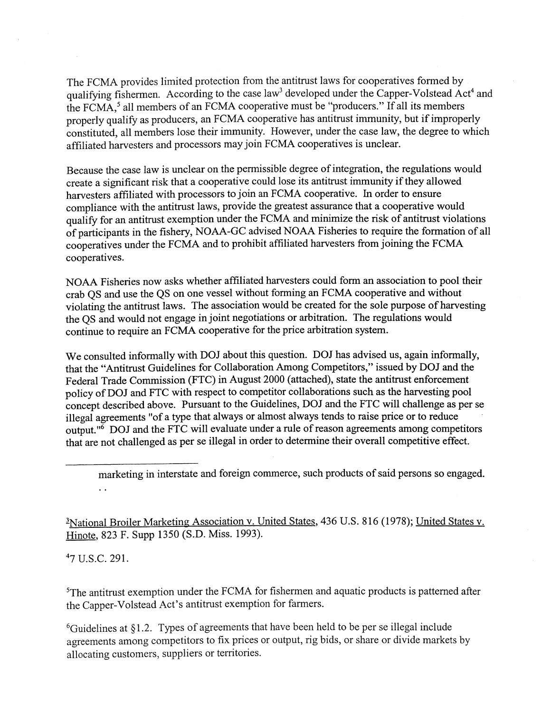The FCMA provides limited protection from the antitrust laws for cooperatives formed by qualifying fishermen. According to the case law<sup>3</sup> developed under the Capper-Volstead Act<sup>4</sup> and the FCMA,<sup>5</sup> all members of an FCMA cooperative must be "producers." If all its members properly qualify as producers, an FCMA cooperative has antitrust immunity, but if improperly constituted, all members lose their immunity. However, under the case law, the degree to which affiliated harvesters and processors may join FCMA cooperatives is unclear.

Because the case law is unclear on the permissible degree of integration, the regulations would create a significant risk that a cooperative could lose its antitrust immunity if they allowed harvesters affiliated with processors to join an FCMA cooperative. In order to ensure compliance with the antitrust laws, provide the greatest assurance that a cooperative would qualify for an antitrust exemption under the FCMA and minimize the risk of antitrust violations of participants in the fishery, NOAA-GC advised NOAA Fisheries to require the formation of all cooperatives under the FCMA and to prohibit affiliated harvesters from joining the FCMA cooperatives.

NOAA Fisheries now asks whether affiliated harvesters could form an association to pool their crab QS and use the QS on one vessel without forming an FCMA cooperative and without violating the antitrust laws. The association would be created for the sole purpose of harvesting the QS and would not engage in joint negotiations or arbitration. The regulations would continue to require an FCMA cooperative for the price arbitration system.

We consulted informally with DOJ about this question. *DOI* has advised us, again informally, that the "Antitrust Guidelines for Collaboration Among Competitors," issued by DOJ and the Federal Trade Commission (FTC) in August 2000 (attached), state the antitrust enforcement policy of DOJ and FTC with respect to competitor collaborations such as the harvesting pool concept described above. Pursuant to the Guidelines, DOJ and the FTC will challenge as per se illegal agreements "of a type that always or almost always tends to raise price or to reduce output." $\overrightarrow{6}$  DOJ and the FTC will evaluate under a rule of reason agreements among competitors that are not challenged as per se illegal in order to determine their overall competitive effect.

<sup>2</sup>National Broiler Marketing Association v. United States, 436 U.S. 816 (1978); United States v. Hinote, 823 F. Supp 1350 (S.D. Miss. 1993).

47 u.s.c. 291.

<sup>5</sup>The antitrust exemption under the FCMA for fishermen and aquatic products is patterned after the Capper-Volstead Act's antitrust exemption for farmers.

 $6$ Guidelines at §1.2. Types of agreements that have been held to be per se illegal include agreements among competitors to fix prices or output, rig bids, or share or divide markets by allocating customers, suppliers or territories.

marketing in interstate and foreign commerce, such products of said persons so engaged.  $\ddot{\phantom{a}}$